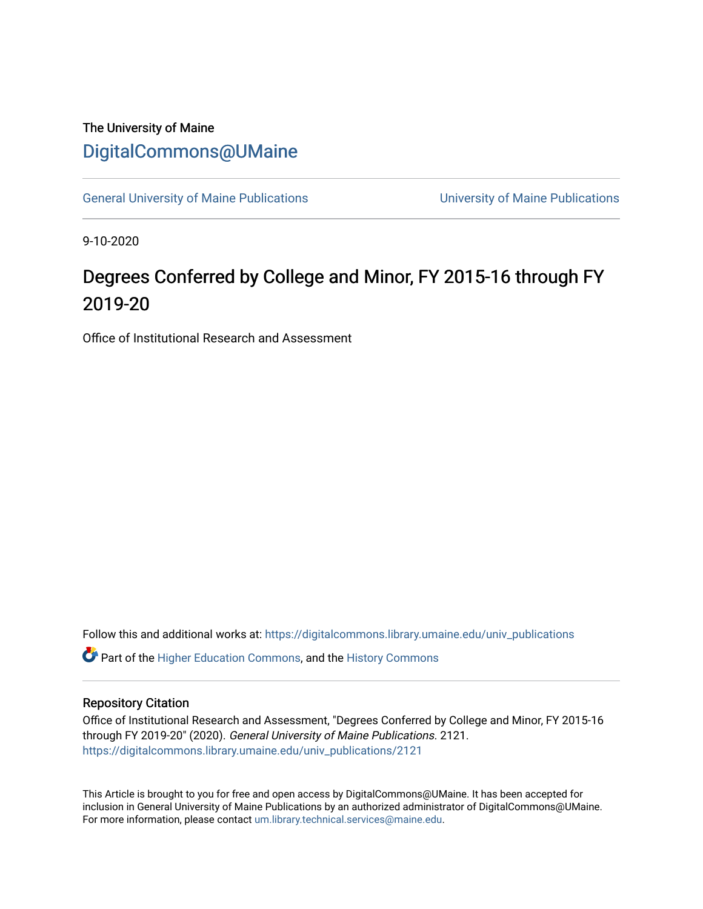## The University of Maine [DigitalCommons@UMaine](https://digitalcommons.library.umaine.edu/)

[General University of Maine Publications](https://digitalcommons.library.umaine.edu/univ_publications) [University of Maine Publications](https://digitalcommons.library.umaine.edu/umaine_publications) 

9-10-2020

# Degrees Conferred by College and Minor, FY 2015-16 through FY 2019-20

Office of Institutional Research and Assessment

Follow this and additional works at: [https://digitalcommons.library.umaine.edu/univ\\_publications](https://digitalcommons.library.umaine.edu/univ_publications?utm_source=digitalcommons.library.umaine.edu%2Funiv_publications%2F2121&utm_medium=PDF&utm_campaign=PDFCoverPages) 

**C** Part of the [Higher Education Commons,](http://network.bepress.com/hgg/discipline/1245?utm_source=digitalcommons.library.umaine.edu%2Funiv_publications%2F2121&utm_medium=PDF&utm_campaign=PDFCoverPages) and the [History Commons](http://network.bepress.com/hgg/discipline/489?utm_source=digitalcommons.library.umaine.edu%2Funiv_publications%2F2121&utm_medium=PDF&utm_campaign=PDFCoverPages)

#### Repository Citation

Office of Institutional Research and Assessment, "Degrees Conferred by College and Minor, FY 2015-16 through FY 2019-20" (2020). General University of Maine Publications. 2121. [https://digitalcommons.library.umaine.edu/univ\\_publications/2121](https://digitalcommons.library.umaine.edu/univ_publications/2121?utm_source=digitalcommons.library.umaine.edu%2Funiv_publications%2F2121&utm_medium=PDF&utm_campaign=PDFCoverPages)

This Article is brought to you for free and open access by DigitalCommons@UMaine. It has been accepted for inclusion in General University of Maine Publications by an authorized administrator of DigitalCommons@UMaine. For more information, please contact [um.library.technical.services@maine.edu](mailto:um.library.technical.services@maine.edu).